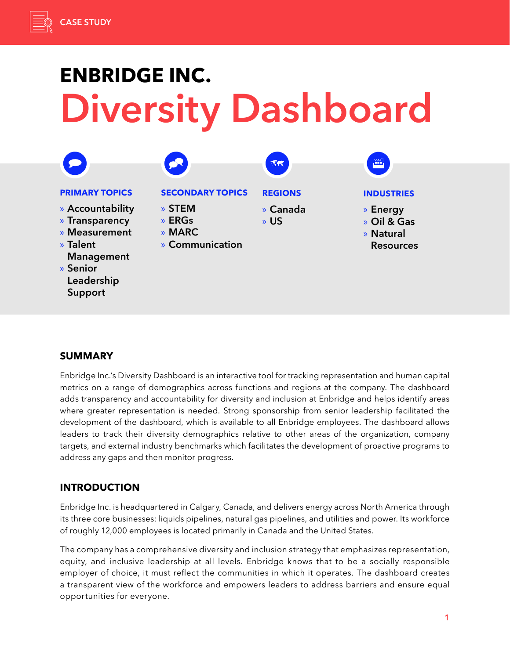# **ENBRIDGE INC.** Diversity Dashboard



# **SUMMARY**

Enbridge Inc.'s Diversity Dashboard is an interactive tool for tracking representation and human capital metrics on a range of demographics across functions and regions at the company. The dashboard adds transparency and accountability for diversity and inclusion at Enbridge and helps identify areas where greater representation is needed. Strong sponsorship from senior leadership facilitated the development of the dashboard, which is available to all Enbridge employees. The dashboard allows leaders to track their diversity demographics relative to other areas of the organization, company targets, and external industry benchmarks which facilitates the development of proactive programs to address any gaps and then monitor progress.

# **INTRODUCTION**

Enbridge Inc. is headquartered in Calgary, Canada, and delivers energy across North America through its three core businesses: liquids pipelines, natural gas pipelines, and utilities and power. Its workforce of roughly 12,000 employees is located primarily in Canada and the United States.

The company has a comprehensive diversity and inclusion strategy that emphasizes representation, equity, and inclusive leadership at all levels. Enbridge knows that to be a socially responsible employer of choice, it must reflect the communities in which it operates. The dashboard creates a transparent view of the workforce and empowers leaders to address barriers and ensure equal opportunities for everyone.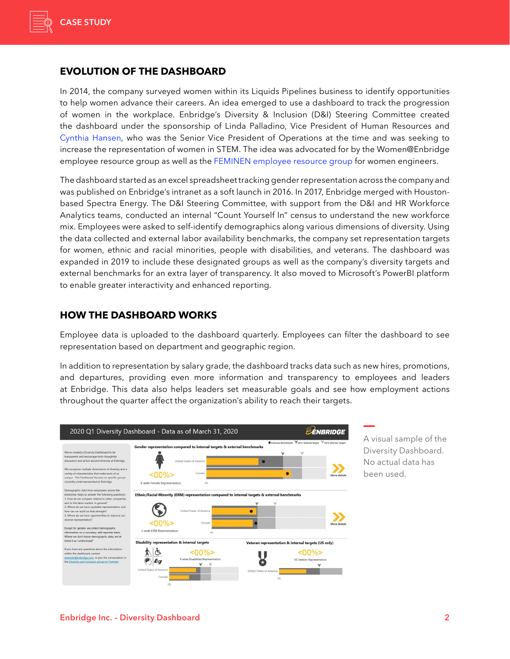

## **EVOLUTION OF THE DASHBOARD**

In 2014, the company surveyed women within its Liquids Pipelines business to identify opportunities to help women advance their careers. An idea emerged to use a dashboard to track the progression of women in the workplace. Enbridge's Diversity & Inclusion (D&I) Steering Committee created the dashboard under the sponsorship of Linda Palladino, Vice President of Human Resources and [Cynthia Hansen](https://www.catalyst.org/bio/cynthia-hansen/), who was the Senior Vice President of Operations at the time and was seeking to increase the representation of women in STEM. The idea was advocated for by the Women@Enbridge employee resource group as well as the [FEMINEN employee resource group](https://catalyst.org/research/enbridge-inc-feminen-females-in-engineering-employee-resource-group/) for women engineers.

The dashboard started as an excel spreadsheet tracking gender representation across the company and was published on Enbridge's intranet as a soft launch in 2016. In 2017, Enbridge merged with Houstonbased Spectra Energy. The D&I Steering Committee, with support from the D&I and HR Workforce Analytics teams, conducted an internal "Count Yourself In" census to understand the new workforce mix. Employees were asked to self-identify demographics along various dimensions of diversity. Using the data collected and external labor availability benchmarks, the company set representation targets for women, ethnic and racial minorities, people with disabilities, and veterans. The dashboard was expanded in 2019 to include these designated groups as well as the company's diversity targets and external benchmarks for an extra layer of transparency. It also moved to Microsoft's PowerBI platform to enable greater interactivity and enhanced reporting.

## **HOW THE DASHBOARD WORKS**

Employee data is uploaded to the dashboard quarterly. Employees can filter the dashboard to see representation based on department and geographic region.

In addition to representation by salary grade, the dashboard tracks data such as new hires, promotions, and departures, providing even more information and transparency to employees and leaders at Enbridge. This data also helps leaders set measurable goals and see how employment actions throughout the quarter affect the organization's ability to reach their targets.



A visual sample of the Diversity Dashboard. No actual data has been used.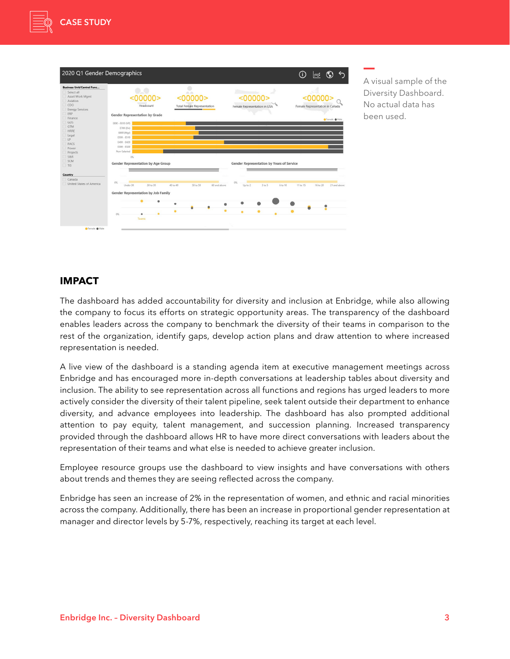



A visual sample of the Diversity Dashboard. No actual data has been used.

## **IMPACT**

The dashboard has added accountability for diversity and inclusion at Enbridge, while also allowing the company to focus its efforts on strategic opportunity areas. The transparency of the dashboard enables leaders across the company to benchmark the diversity of their teams in comparison to the rest of the organization, identify gaps, develop action plans and draw attention to where increased representation is needed.

A live view of the dashboard is a standing agenda item at executive management meetings across Enbridge and has encouraged more in-depth conversations at leadership tables about diversity and inclusion. The ability to see representation across all functions and regions has urged leaders to more actively consider the diversity of their talent pipeline, seek talent outside their department to enhance diversity, and advance employees into leadership. The dashboard has also prompted additional attention to pay equity, talent management, and succession planning. Increased transparency provided through the dashboard allows HR to have more direct conversations with leaders about the representation of their teams and what else is needed to achieve greater inclusion.

Employee resource groups use the dashboard to view insights and have conversations with others about trends and themes they are seeing reflected across the company.

Enbridge has seen an increase of 2% in the representation of women, and ethnic and racial minorities across the company. Additionally, there has been an increase in proportional gender representation at manager and director levels by 5-7%, respectively, reaching its target at each level.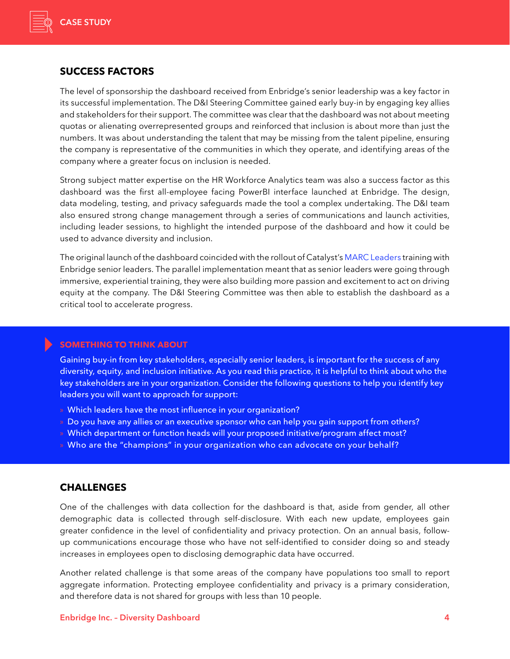

## **SUCCESS FACTORS**

The level of sponsorship the dashboard received from Enbridge's senior leadership was a key factor in its successful implementation. The D&I Steering Committee gained early buy-in by engaging key allies and stakeholders for their support. The committee was clear that the dashboard was not about meeting quotas or alienating overrepresented groups and reinforced that inclusion is about more than just the numbers. It was about understanding the talent that may be missing from the talent pipeline, ensuring the company is representative of the communities in which they operate, and identifying areas of the company where a greater focus on inclusion is needed.

Strong subject matter expertise on the HR Workforce Analytics team was also a success factor as this dashboard was the first all-employee facing PowerBI interface launched at Enbridge. The design, data modeling, testing, and privacy safeguards made the tool a complex undertaking. The D&I team also ensured strong change management through a series of communications and launch activities, including leader sessions, to highlight the intended purpose of the dashboard and how it could be used to advance diversity and inclusion.

The original launch of the dashboard coincided with the rollout of Catalyst's [MARC Leaders](https://www.catalyst.org/solution/marc-leaders/) training with Enbridge senior leaders. The parallel implementation meant that as senior leaders were going through immersive, experiential training, they were also building more passion and excitement to act on driving equity at the company. The D&I Steering Committee was then able to establish the dashboard as a critical tool to accelerate progress.

#### **SOMETHING TO THINK ABOUT**

Gaining buy-in from key stakeholders, especially senior leaders, is important for the success of any diversity, equity, and inclusion initiative. As you read this practice, it is helpful to think about who the key stakeholders are in your organization. Consider the following questions to help you identify key leaders you will want to approach for support:

- » Which leaders have the most influence in your organization?
- » Do you have any allies or an executive sponsor who can help you gain support from others?
- » Which department or function heads will your proposed initiative/program affect most?
- » Who are the "champions" in your organization who can advocate on your behalf?

#### **CHALLENGES**

One of the challenges with data collection for the dashboard is that, aside from gender, all other demographic data is collected through self-disclosure. With each new update, employees gain greater confidence in the level of confidentiality and privacy protection. On an annual basis, followup communications encourage those who have not self-identified to consider doing so and steady increases in employees open to disclosing demographic data have occurred.

Another related challenge is that some areas of the company have populations too small to report aggregate information. Protecting employee confidentiality and privacy is a primary consideration, and therefore data is not shared for groups with less than 10 people.